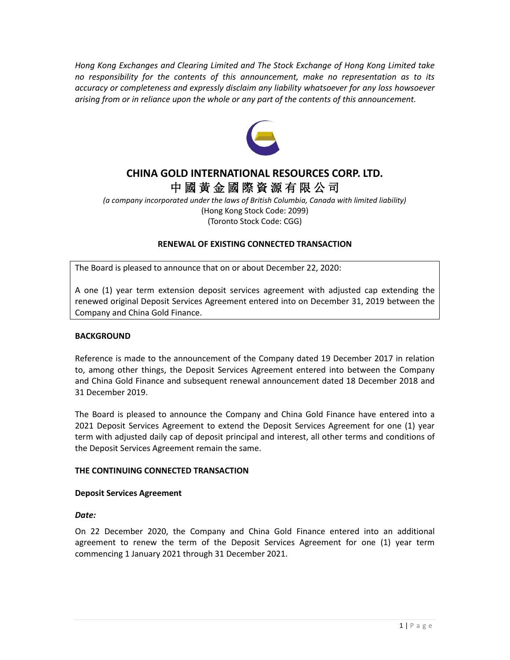*Hong Kong Exchanges and Clearing Limited and The Stock Exchange of Hong Kong Limited take no responsibility for the contents of this announcement, make no representation as to its accuracy or completeness and expressly disclaim any liability whatsoever for any loss howsoever arising from or in reliance upon the whole or any part of the contents of this announcement.*



# **CHINA GOLD INTERNATIONAL RESOURCES CORP. LTD.** 中 國 黃 金 國 際 資 源 有 限 公 司

*(a company incorporated under the laws of British Columbia, Canada with limited liability)* (Hong Kong Stock Code: 2099) (Toronto Stock Code: CGG)

# **RENEWAL OF EXISTING CONNECTED TRANSACTION**

The Board is pleased to announce that on or about December 22, 2020:

A one (1) year term extension deposit services agreement with adjusted cap extending the renewed original Deposit Services Agreement entered into on December 31, 2019 between the Company and China Gold Finance.

### **BACKGROUND**

Reference is made to the announcement of the Company dated 19 December 2017 in relation to, among other things, the Deposit Services Agreement entered into between the Company and China Gold Finance and subsequent renewal announcement dated 18 December 2018 and 31 December 2019.

The Board is pleased to announce the Company and China Gold Finance have entered into a 2021 Deposit Services Agreement to extend the Deposit Services Agreement for one (1) year term with adjusted daily cap of deposit principal and interest, all other terms and conditions of the Deposit Services Agreement remain the same.

### **THE CONTINUING CONNECTED TRANSACTION**

### **Deposit Services Agreement**

### *Date:*

On 22 December 2020, the Company and China Gold Finance entered into an additional agreement to renew the term of the Deposit Services Agreement for one (1) year term commencing 1 January 2021 through 31 December 2021.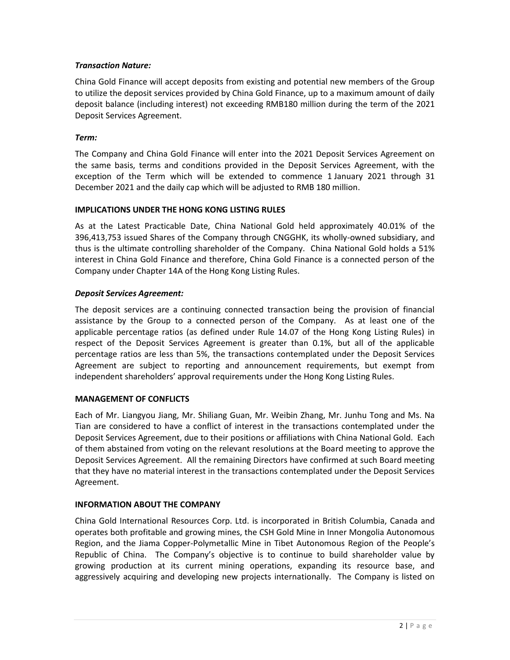# *Transaction Nature:*

China Gold Finance will accept deposits from existing and potential new members of the Group to utilize the deposit services provided by China Gold Finance, up to a maximum amount of daily deposit balance (including interest) not exceeding RMB180 million during the term of the 2021 Deposit Services Agreement.

## *Term:*

The Company and China Gold Finance will enter into the 2021 Deposit Services Agreement on the same basis, terms and conditions provided in the Deposit Services Agreement, with the exception of the Term which will be extended to commence 1 January 2021 through 31 December 2021 and the daily cap which will be adjusted to RMB 180 million.

### **IMPLICATIONS UNDER THE HONG KONG LISTING RULES**

As at the Latest Practicable Date, China National Gold held approximately 40.01% of the 396,413,753 issued Shares of the Company through CNGGHK, its wholly-owned subsidiary, and thus is the ultimate controlling shareholder of the Company. China National Gold holds a 51% interest in China Gold Finance and therefore, China Gold Finance is a connected person of the Company under Chapter 14A of the Hong Kong Listing Rules.

# *Deposit Services Agreement:*

The deposit services are a continuing connected transaction being the provision of financial assistance by the Group to a connected person of the Company. As at least one of the applicable percentage ratios (as defined under Rule 14.07 of the Hong Kong Listing Rules) in respect of the Deposit Services Agreement is greater than 0.1%, but all of the applicable percentage ratios are less than 5%, the transactions contemplated under the Deposit Services Agreement are subject to reporting and announcement requirements, but exempt from independent shareholders' approval requirements under the Hong Kong Listing Rules.

### **MANAGEMENT OF CONFLICTS**

Each of Mr. Liangyou Jiang, Mr. Shiliang Guan, Mr. Weibin Zhang, Mr. Junhu Tong and Ms. Na Tian are considered to have a conflict of interest in the transactions contemplated under the Deposit Services Agreement, due to their positions or affiliations with China National Gold. Each of them abstained from voting on the relevant resolutions at the Board meeting to approve the Deposit Services Agreement. All the remaining Directors have confirmed at such Board meeting that they have no material interest in the transactions contemplated under the Deposit Services Agreement.

### **INFORMATION ABOUT THE COMPANY**

China Gold International Resources Corp. Ltd. is incorporated in British Columbia, Canada and operates both profitable and growing mines, the CSH Gold Mine in Inner Mongolia Autonomous Region, and the Jiama Copper-Polymetallic Mine in Tibet Autonomous Region of the People's Republic of China. The Company's objective is to continue to build shareholder value by growing production at its current mining operations, expanding its resource base, and aggressively acquiring and developing new projects internationally. The Company is listed on